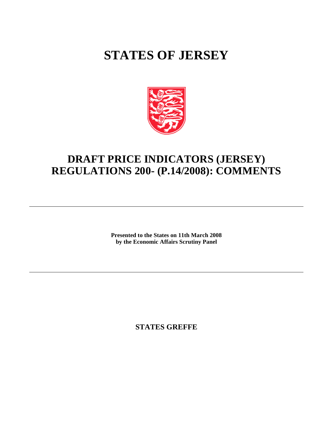## **STATES OF JERSEY**



## **DRAFT PRICE INDICATORS (JERSEY) REGULATIONS 200- (P.14/2008): COMMENTS**

**Presented to the States on 11th March 2008 by the Economic Affairs Scrutiny Panel**

**STATES GREFFE**